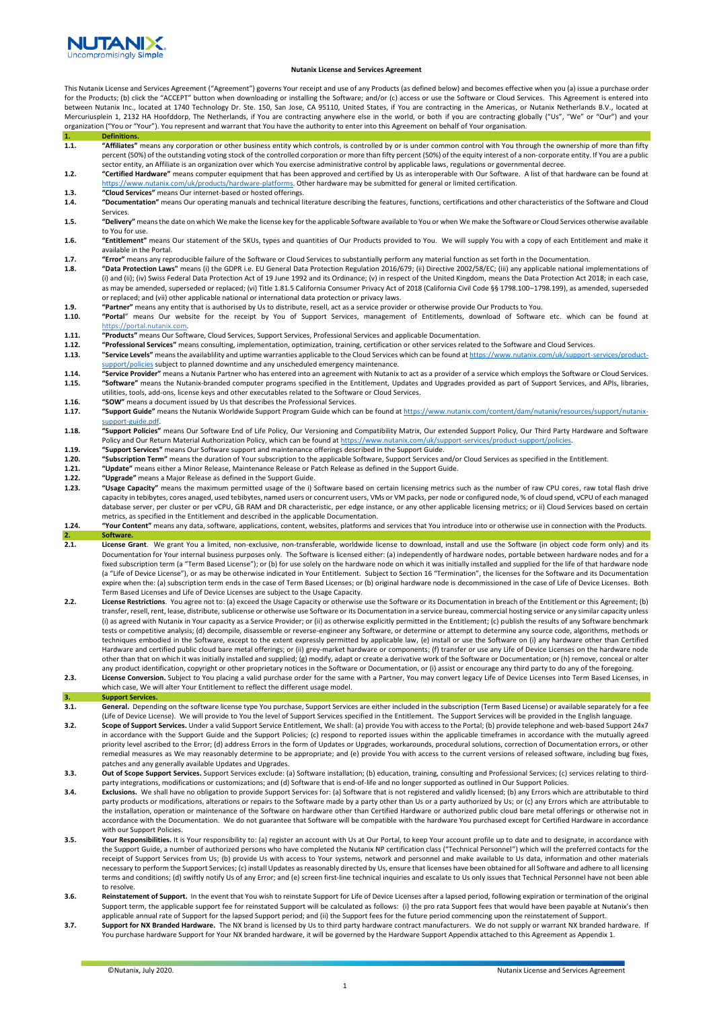

### **Nutanix License and Services Agreement**

This Nutanix License and Services Agreement ("Agreement") governs Your receipt and use of any Products (as defined below) and becomes effective when you (a) issue a purchase order for the Products; (b) click the "ACCEPT" button when downloading or installing the Software; and/or (c) access or use the Software or Cloud Services. This Agreement is entered into between Nutanix Inc., located at 1740 Technology Dr. Ste. 150, San Jose, CA 95110, United States, if You are contracting in the Americas, or Nutanix Netherlands B.V., located at Mercuriusplein 1, 2132 HA Hoofddorp, The Netherlands, if You are contracting anywhere else in the world, or both if you are contracting globally ("Us", "We" or "Our") and your organization ("You or "Your"). You represent and warrant that You have the authority to enter into this Agreement on behalf of Your organisation.

- **1. Definitions.**<br>1.**1. "Affiliates"** means any corporation or other business entity which controls, is controlled by or is under common control with You through the ownership of more than fifty<br>percent (50%) of the outsta sector entity, an Affiliate is an organization over which You exercise administrative control by applicable laws, regulations or governmental decree.
- **1.2. "Certified Hardware"** means computer equipment that has been approved and certified by Us as interoperable with Our Software. A list of that hardware can be found at
- 
- [https://www.nutanix.com/uk/products/hardware-platforms.](https://www.nutanix.com/uk/products/hardware-platforms) Other hardware may be submitted for general or limited certification.<br>1**.3. "Cloud Services"** means Our internet-based or hosted offerings.<br>1.4. Services.
- **1.5. "Delivery"** means the date on which We make the license key for the applicable Software available to You or when We make the Software or Cloud Services otherwise available to You for use.
- **1.6. "Entitlement"** means Our statement of the SKUs, types and quantities of Our Products provided to You. We will supply You with a copy of each Entitlement and make it available in the Portal.
- **1.7.** "Error" means any reproducible failure of the Software or Cloud Services to substantially perform any material function as set forth in the Documentation.<br>**1.8.** "Data Protection Laws" means (i) the GDPR i.e. EU Gen
- **1.8. "Data Protection Laws"** means (i) the GDPR i.e. EU General Data Protection Regulation 2016/679; (ii) Directive 2002/58/EC; (iii) any applicable national implementations of (i) and (ii); (iv) Swiss Federal Data Protection Act of 19 June 1992 and its Ordinance; (v) in respect of the United Kingdom, means the Data Protection Act 2018; in each case, as may be amended, superseded or replaced; (vi) Title 1.81.5 California Consumer Privacy Act of 2018 (California Civil Code §§ 1798.100–1798.199), as amended, superseded or replaced; and (vii) other applicable national or international data protection or privacy laws.
- **1.9. "Partner"** means any entity that is authorised by Us to distribute, resell, act as a service provider or otherwise provide Our Products to You.
- **1.10. "Portal**" means Our website for the receipt by You of Support Services, management of Entitlements, download of Software etc. which can be found at https://portal.nutanix.com.
- **1.11. "Products"** means Our Software, Cloud Services, Support Services, Professional Services and applicable Documentation.
- **1.12. "Professional Services"** means consulting, implementation, optimization, training, certification or other services related to the Software and Cloud Services.
- "Service Levels" means the availablility and uptime warranties applicable to the Cloud Services which can be found at https://www.nutanix.com/uk/s [support/policies](https://www.nutanix.com/uk/support-services/product-support/policies) subject to planned downtime and any unscheduled emergency maintenance.
- **1.14. "Service Provider"** means a Nutanix Partner who has entered into an agreement with Nutanix to act as a provider of a service which employs the Software or Cloud Services.<br>**1.15.** "Software" means the Nutanix-brand **1.15. "Software"** means the Nutanix-branded computer programs specified in the Entitlement, Updates and Upgrades provided as part of Support Services, and APIs, libraries, utilities, tools, add-ons, license keys and other executables related to the Software or Cloud Services.
- **1.16. "SOW"** means a document issued by Us that describes the Professional Services.
- **1.17. "Support Guide"** means the Nutanix Worldwide Support Program Guide which can be found a[t https://www.nutanix.com/content/dam/nutanix/resources/support/nutanix](https://www.nutanix.com/content/dam/nutanix/resources/support/nutanix-support-guide.pdf)[support-guide.pdf.](https://www.nutanix.com/content/dam/nutanix/resources/support/nutanix-support-guide.pdf)
- **1.18. "Support Policies"** means Our Software End of Life Policy, Our Versioning and Compatibility Matrix, Our extended Support Policy, Our Third Party Hardware and Software Policy and Our Return Material Authorization Policy, which can be found at https://www.nutanix.com/uk/support-services/product-support/policies.
- **1.19. "Support Services"** means Our Software support and maintenance offerings described in the Support Guide.
- **1.20. "Subscription Term"** means the duration of Your subscription to the applicable Software, Support Services and/or Cloud Services as specified in the Entitlement.
- **1.21. "Update"** means either a Minor Release, Maintenance Release or Patch Release as defined in the Support Guide.
- **1.22. "Upgrade"** means a Major Release as defined in the Support Guide. **1.23. "Usage Capacity"** means the maximum permitted usage of the i) Software based on certain licensing metrics such as the number of raw CPU cores, raw total flash drive capacity in tebibytes, cores anaged, used tebibytes, named users or concurrent users, VMs or VM packs, per node or configured node, % of cloud spend, vCPU of each managed database server, per cluster or per vCPU, GB RAM and DR characteristic, per edge instance, or any other applicable licensing metrics; or ii) Cloud Services based on certain metrics, as specified in the Entitlement and described in the applicable Documentation.
- **1.24. "Your Content"** means any data, software, applications, content, websites, platforms and services that You introduce into or otherwise use in connection with the Products. **2. Softwar**<br>**2.1. License**
- License Grant. We grant You a limited, non-exclusive, non-transferable, worldwide license to download, install and use the Software (in object code form only) and its Documentation for Your internal business purposes only. The Software is licensed either: (a) independently of hardware nodes, portable between hardware nodes and for a fixed subscription term (a "Term Based License"); or (b) for use solely on the hardware node on which it was initially installed and supplied for the life of that hardware node (a "Life of Device License"), or as may be otherwise indicated in Your Entitlement. Subject to Section 16 "Termination", the licenses for the Software and its Documentation expire when the: (a) subscription term ends in the case of Term Based Licenses; or (b) original hardware node is decommissioned in the case of Life of Device Licenses. Both Term Based Licenses and Life of Device Licenses are subject to the Usage Capacity.
- **2.2. License Restrictions**. You agree not to: (a) exceed the Usage Capacity or otherwise use the Software or its Documentation in breach of the Entitlement or this Agreement; (b) transfer, resell, rent, lease, distribute, sublicense or otherwise use Software or its Documentation in a service bureau, commercial hosting service or any similar capacity unless (i) as agreed with Nutanix in Your capacity as a Service Provider; or (ii) as otherwise explicitly permitted in the Entitlement; (c) publish the results of any Software benchmark tests or competitive analysis; (d) decompile, disassemble or reverse-engineer any Software, or determine or attempt to determine any source code, algorithms, methods or techniques embodied in the Software, except to the extent expressly permitted by applicable law, (e) install or use the Software on (i) any hardware other than Certified Hardware and certified public cloud bare metal offerings; or (ii) grey-market hardware or components; (f) transfer or use any Life of Device Licenses on the hardware node other than that on which it was initially installed and supplied; (g) modify, adapt or create a derivative work of the Software or Documentation; or (h) remove, conceal or alter any product identification, copyright or other proprietary notices in the Software or Documentation, or (i) assist or encourage any third party to do any of the foregoing.
- **2.3. License Conversion.** Subject to You placing a valid purchase order for the same with a Partner, You may convert legacy Life of Device Licenses into Term Based Licenses, in which case, We will alter Your Entitlement to reflect the different usage model.

#### **3. Support Services.**

**3.1. General.** Depending on the software license type You purchase, Support Services are either included in the subscription (Term Based License) or available separately for a fee (Life of Device License). We will provide to You the level of Support Services specified in the Entitlement. The Support Services will be provided in the English language.

- **3.2. Scope of Support Services.** Under a valid Support Service Entitlement, We shall: (a) provide You with access to the Portal; (b) provide telephone and web-based Support 24x7 in accordance with the Support Guide and the Support Policies; (c) respond to reported issues within the applicable timeframes in accordance with the mutually agreed priority level ascribed to the Error; (d) address Errors in the form of Updates or Upgrades, workarounds, procedural solutions, correction of Documentation errors, or other remedial measures as We may reasonably determine to be appropriate; and (e) provide You with access to the current versions of released software, including bug fixes, patches and any generally available Updates and Upgrades.
- **3.3.** Out of Scope Support Services. Support Services exclude: (a) Software installation; (b) education, training, consulting and Professional Services; (c) services relating to thirdparty integrations, modifications or customizations; and (d) Software that is end-of-life and no longer supported as outlined in Our Support Policies.
- **3.4. Exclusions.** We shall have no obligation to provide Support Services for: (a) Software that is not registered and validly licensed; (b) any Errors which are attributable to third party products or modifications, alterations or repairs to the Software made by a party other than Us or a party authorized by Us; or (c) any Errors which are attributable to the installation, operation or maintenance of the Software on hardware other than Certified Hardware or authorized public cloud bare metal offerings or otherwise not in accordance with the Documentation. We do not guarantee that Software will be compatible with the hardware You purchased except for Certified Hardware in accordance with our Support Policies.
- **3.5. Your Responsibilities.** It is Your responsibility to: (a) register an account with Us at Our Portal, to keep Your account profile up to date and to designate, in accordance with the Support Guide, a number of authorized persons who have completed the Nutanix NP certification class ("Technical Personnel") which will the preferred contacts for the receipt of Support Services from Us; (b) provide Us with access to Your systems, network and personnel and make available to Us data, information and other materials necessary to perform the Support Services; (c) install Updates as reasonably directed by Us, ensure that licenses have been obtained for all Software and adhere to all licensing terms and conditions; (d) swiftly notify Us of any Error; and (e) screen first-line technical inquiries and escalate to Us only issues that Technical Personnel have not been able to resolve.
- **3.6. Reinstatement of Support.** In the event that You wish to reinstate Support for Life of Device Licenses after a lapsed period, following expiration or termination of the original Support term, the applicable support fee for reinstated Support will be calculated as follows: (i) the pro rata Support fees that would have been payable at Nutanix's then applicable annual rate of Support for the lapsed Support period; and (ii) the Support fees for the future period commencing upon the reinstatement of Support.
- **3.7. Support for NX Branded Hardware.** The NX brand is licensed by Us to third party hardware contract manufacturers. We do not supply or warrant NX branded hardware. If You purchase hardware Support for Your NX branded hardware, it will be governed by the Hardware Support Appendix attached to this Agreement as Appendix 1.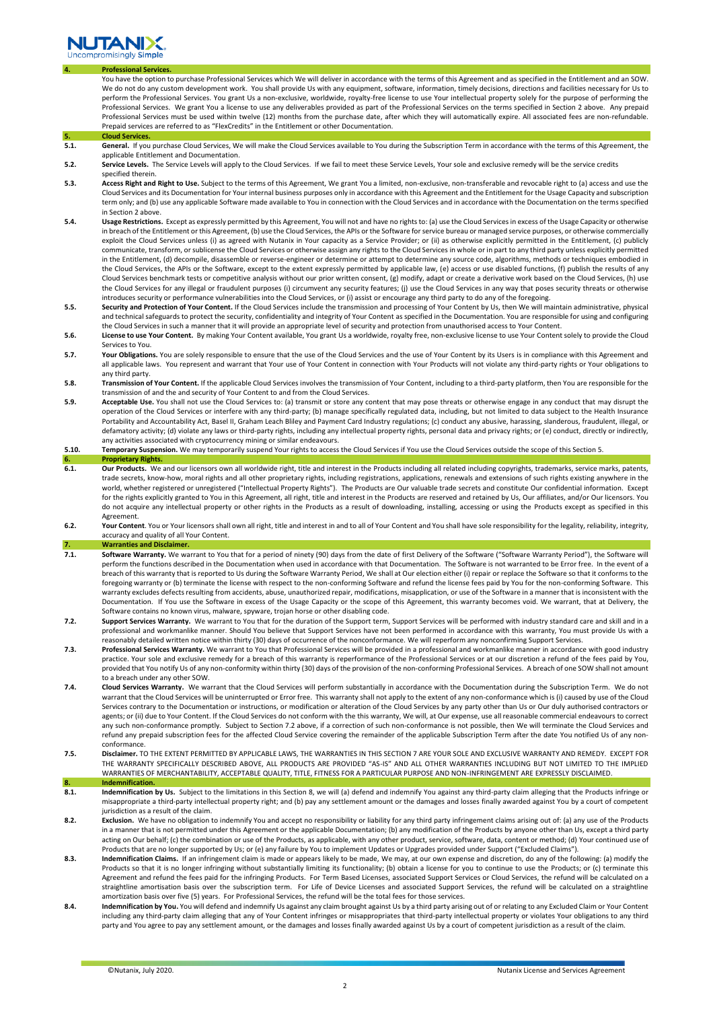

#### **4. Professional Services.**

You have the option to purchase Professional Services which We will deliver in accordance with the terms of this Agreement and as specified in the Entitlement and an SOW. We do not do any custom development work. You shall provide Us with any equipment, software, information, timely decisions, directions and facilities necessary for Us to perform the Professional Services. You grant Us a non-exclusive, worldwide, royalty-free license to use Your intellectual property solely for the purpose of performing the Professional Services. We grant You a license to use any deliverables provided as part of the Professional Services on the terms specified in Section 2 above. Any prepaid Professional Services must be used within twelve (12) months from the purchase date, after which they will automatically expire. All associated fees are non-refundable. Prepaid services are referred to as "FlexCredits" in the Entitlement or other Documentation.

- **5. Cloud Services**<br>**5.1. General.** If yo General. If you purchase Cloud Services, We will make the Cloud Services available to You during the Subscription Term in accordance with the terms of this Agreement, the applicable Entitlement and Documentation.
- **5.2. Service Levels.** The Service Levels will apply to the Cloud Services. If we fail to meet these Service Levels, Your sole and exclusive remedy will be the service credits specified therein.
- **5.3. Access Right and Right to Use.** Subject to the terms of this Agreement, We grant You a limited, non-exclusive, non-transferable and revocable right to (a) access and use the Cloud Services and its Documentation for Your internal business purposes only in accordance with this Agreement and the Entitlement for the Usage Capacity and subscription term only; and (b) use any applicable Software made available to You in connection with the Cloud Services and in accordance with the Documentation on the terms specified in Section 2 above.
- **5.4. Usage Restrictions.** Except as expressly permitted by this Agreement, You will not and have no rights to: (a) use the Cloud Services in excess of the Usage Capacity or otherwise in breach of the Entitlement or this Agreement, (b) use the Cloud Services, the APIs or the Software for service bureau or managed service purposes, or otherwise com exploit the Cloud Services unless (i) as agreed with Nutanix in Your capacity as a Service Provider; or (ii) as otherwise explicitly permitted in the Entitlement, (c) publicly communicate, transform, or sublicense the Cloud Services or otherwise assign any rights to the Cloud Services in whole or in part to any third party unless explicitly permitted in the Entitlement, (d) decompile, disassemble or reverse-engineer or determine or attempt to determine any source code, algorithms, methods or techniques embodied in the Cloud Services, the APIs or the Software, except to the extent expressly permitted by applicable law, (e) access or use disabled functions, (f) publish the results of any Cloud Services benchmark tests or competitive analysis without our prior written consent, (g) modify, adapt or create a derivative work based on the Cloud Services, (h) use the Cloud Services for any illegal or fraudulent purposes (i) circumvent any security features; (j) use the Cloud Services in any way that poses security threats or otherwise introduces security or performance vulnerabilities into the Cloud Services, or (i) assist or encourage any third party to do any of the foregoing.
- **5.5. Security and Protection of Your Content.** If the Cloud Services include the transmission and processing of Your Content by Us, then We will maintain administrative, physical and technical safeguards to protect the security, confidentiality and integrity of Your Content as specified in the Documentation. You are responsible for using and configuring the Cloud Services in such a manner that it will provide an appropriate level of security and protection from unauthorised access to Your Content.
- **5.6. License to use Your Content.** By making Your Content available, You grant Us a worldwide, royalty free, non-exclusive license to use Your Content solely to provide the Cloud Services to You.
- **5.7. Your Obligations.** You are solely responsible to ensure that the use of the Cloud Services and the use of Your Content by its Users is in compliance with this Agreement and all applicable laws. You represent and warrant that Your use of Your Content in connection with Your Products will not violate any third-party rights or Your obligations to any third party.
- **5.8. Transmission of Your Content.** If the applicable Cloud Services involves the transmission of Your Content, including to a third-party platform, then You are responsible for the transmission of and the and security of Your Content to and from the Cloud Services.
- **5.9. Acceptable Use.** You shall not use the Cloud Services to: (a) transmit or store any content that may pose threats or otherwise engage in any conduct that may disrupt the operation of the Cloud Services or interfere with any third-party; (b) manage specifically regulated data, including, but not limited to data subject to the Health Insurance<br>Portability and Accountability Act, Basel II, Gr defamatory activity; (d) violate any laws or third-party rights, including any intellectual property rights, personal data and privacy rights; or (e) conduct, directly or indirectly, any activities associated with cryptocurrency mining or similar endeavours.
- **5.10. Temporary Suspension.** We may temporarily suspend Your rights to access the Cloud Services if You use the Cloud Services outside the scope of this Section 5. **6. Proprietary Rights.**
- **6.1. Our Products.** We and our licensors own all worldwide right, title and interest in the Products including all related including copyrights, trademarks, service marks, patents, trade secrets, know-how, moral rights and all other proprietary rights, including registrations, applications, renewals and extensions of such rights existing anywhere in the world, whether registered or unregistered ("Intellectual Property Rights"). The Products are Our valuable trade secrets and constitute Our confidential information. Except for the rights explicitly granted to You in this Agreement, all right, title and interest in the Products are reserved and retained by Us, Our affiliates, and/or Our licensors. You do not acquire any intellectual property or other rights in the Products as a result of downloading, installing, accessing or using the Products except as specified in this Agreement.
- **6.2. Your Content**. You or Your licensors shall own all right, title and interest in and to all of Your Content and You shall have sole responsibility for the legality, reliability, integrity, accuracy and quality of all Your Content.

**7. Warranties and Disclaimer.** 

- **7.1. Software Warranty.** We warrant to You that for a period of ninety (90) days from the date of first Delivery of the Software ("Software Warranty Period"), the Software will perform the functions described in the Documentation when used in accordance with that Documentation. The Software is not warranted to be Error free. In the event of a breach of this warranty that is reported to Us during the Software Warranty Period, We shall at Our election either (i) repair or replace the Software so that it conforms to the foregoing warranty or (b) terminate the license with respect to the non-conforming Software and refund the license fees paid by You for the non-conforming Software. This warranty excludes defects resulting from accidents, abuse, unauthorized repair, modifications, misapplication, or use of the Software in a manner that is inconsistent with the Documentation. If You use the Software in excess of the Usage Capacity or the scope of this Agreement, this warranty becomes void. We warrant, that at Delivery, the Software contains no known virus, malware, spyware, trojan horse or other disabling code.
- **7.2. Support Services Warranty.** We warrant to You that for the duration of the Support term, Support Services will be performed with industry standard care and skill and in a professional and workmanlike manner. Should You believe that Support Services have not been performed in accordance with this warranty, You must provide Us with a reasonably detailed written notice within thirty (30) days of occurrence of the nonconformance. We will reperform any nonconfirming Support Services.
- **7.3. Professional Services Warranty.** We warrant to You that Professional Services will be provided in a professional and workmanlike manner in accordance with good industry practice. Your sole and exclusive remedy for a breach of this warranty is reperformance of the Professional Services or at our discretion a refund of the fees paid by You, provided that You notify Us of any non-conformity within thirty (30) days of the provision of the non-conforming Professional Services. A breach of one SOW shall not amount to a breach under any other SOW.
- **7.4. Cloud Services Warranty.** We warrant that the Cloud Services will perform substantially in accordance with the Documentation during the Subscription Term. We do not warrant that the Cloud Services will be uninterrupted or Error free. This warranty shall not apply to the extent of any non-conformance which is (i) caused by use of the Cloud Services contrary to the Documentation or instructions, or modification or alteration of the Cloud Services by any party other than Us or Our duly authorised contractors or agents; or (ii) due to Your Content. If the Cloud Services do not conform with the this warranty, We will, at Our expense, use all reasonable commercial endeavours to correct any such non-conformance promptly. Subject to Section 7.2 above, if a correction of such non-conformance is not possible, then We will terminate the Cloud Services and refund any prepaid subscription fees for the affected Cloud Service covering the remainder of the applicable Subscription Term after the date You notified Us of any nonconformance.
- **7.5. Disclaimer.** TO THE EXTENT PERMITTED BY APPLICABLE LAWS, THE WARRANTIES IN THIS SECTION 7 ARE YOUR SOLE AND EXCLUSIVE WARRANTY AND REMEDY. EXCEPT FOR THE WARRANTY SPECIFICALLY DESCRIBED ABOVE, ALL PRODUCTS ARE PROVIDED "AS-IS" AND ALL OTHER WARRANTIES INCLUDING BUT NOT LIMITED TO THE IMPLIED WARRANTIES OF MERCHANTABILITY, ACCEPTABLE QUALITY, TITLE, FITNESS FOR A PARTICULAR PURPOSE AND NON-INFRINGEMENT ARE EXPRESSLY DISCLAIMED.
- **8. Indemnificat**<br>**8.1. Indemnificat 8.1. Indemnification by Us.** Subject to the limitations in this Section 8, we will (a) defend and indemnify You against any third-party claim alleging that the Products infringe or misappropriate a third-party intellectual property right; and (b) pay any settlement amount or the damages and losses finally awarded against You by a court of competent jurisdiction as a result of the claim.
- **8.2. Exclusion.** We have no obligation to indemnify You and accept no responsibility or liability for any third party infringement claims arising out of: (a) any use of the Products in a manner that is not permitted under this Agreement or the applicable Documentation; (b) any modification of the Products by anyone other than Us, except a third party acting on Our behalf; (c) the combination or use of the Products, as applicable, with any other product, service, software, data, content or method; (d) Your continued use of Products that are no longer supported by Us; or (e) any failure by You to implement Updates or Upgrades provided under Support ("Excluded Claims").
- **8.3. Indemnification Claims.** If an infringement claim is made or appears likely to be made, We may, at our own expense and discretion, do any of the following: (a) modify the Products so that it is no longer infringing without substantially limiting its functionality; (b) obtain a license for you to continue to use the Products; or (c) terminate this Agreement and refund the fees paid for the infringing Products. For Term Based Licenses, associated Support Services or Cloud Services, the refund will be calculated on a straightline amortisation basis over the subscription term. For Life of Device Licenses and associated Support Services, the refund will be calculated on a straightline amortization basis over five (5) years. For Professional Services, the refund will be the total fees for those services.
- 8.4. **Indemnification by You.** You will defend and indemnify Us against any claim brought against Us by a third party arising out of or relating to any Excluded Claim or Your Content including any third-party claim alleging that any of Your Content infringes or misappropriates that third-party intellectual property or violates Your obligations to any third party and You agree to pay any settlement amount, or the damages and losses finally awarded against Us by a court of competent jurisdiction as a result of the claim.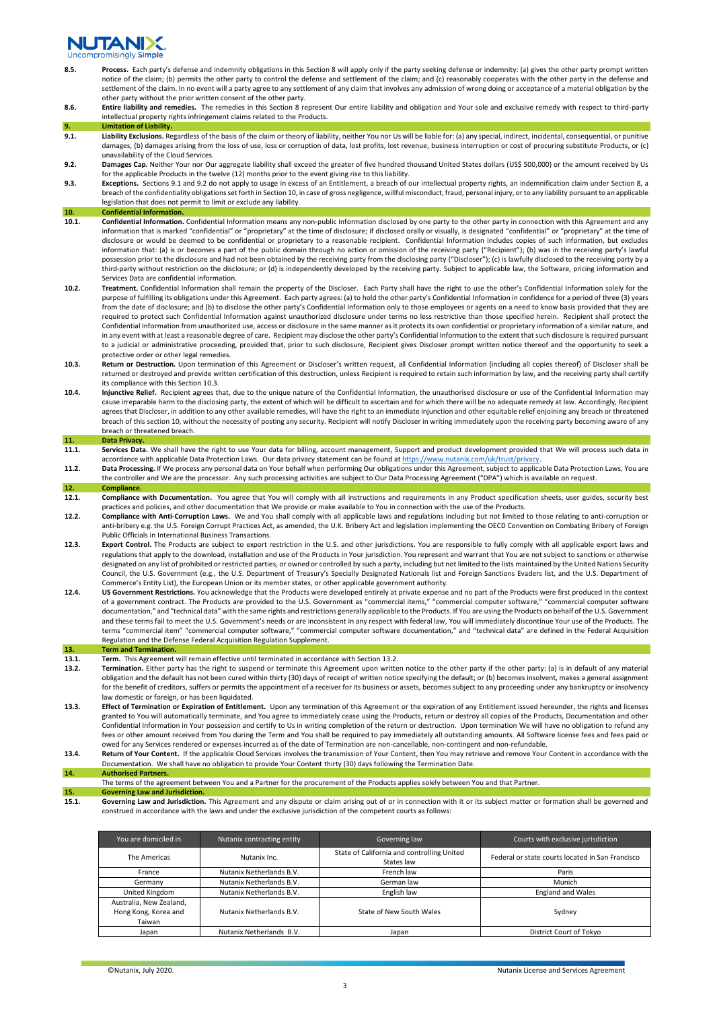# **JUTAND**

- 8.5. Process. Each party's defense and indemnity obligations in this Section 8 will apply only if the party seeking defense or indemnity: (a) gives the other party prompt written notice of the claim; (b) permits the other party to control the defense and settlement of the claim; and (c) reasonably cooperates with the other party in the defense and settlement of the claim. In no event will a party agree to any settlement of any claim that involves any admission of wrong doing or acceptance of a material obligation by the other party without the prior written consent of the other party.
- **8.6. Entire liability and remedies.** The remedies in this Section 8 represent Our entire liability and obligation and Your sole and exclusive remedy with respect to third-party intellectual property rights infringement claims related to the Products.

## **9. Limitation of Liability**<br>**9.1. Liability Exclusions.** R

- Liability Exclusions. Regardless of the basis of the claim or theory of liability, neither You nor Us will be liable for: (a) any special, indirect, incidental, consequential, or punitive damages, (b) damages arising from the loss of use, loss or corruption of data, lost profits, lost revenue, business interruption or cost of procuring substitute Products, or (c) unavailability of the Cloud Services.
- **9.2. Damages Cap.** Neither Your nor Our aggregate liability shall exceed the greater of five hundred thousand United States dollars (US\$ 500,000) or the amount received by Us for the applicable Products in the twelve (12) months prior to the event giving rise to this liability.
- **9.3. Exceptions.** Sections 9.1 and 9.2 do not apply to usage in excess of an Entitlement, a breach of our intellectual property rights, an indemnification claim under Section 8, a breach of the confidentiality obligations set forth in Section 10, in case of gross negligence, willful misconduct, fraud, personal injury, or to any liability pursuant to an applicable legislation that does not permit to limit or exclude any liability.

## 10. **Confidential Information**<br>10.1. **Confidential Information**

- **10.1. Confidential Information.** Confidential Information means any non-public information disclosed by one party to the other party in connection with this Agreement and any information that is marked "confidential" or "proprietary" at the time of disclosure; if disclosed orally or visually, is designated "confidential" or "proprietary" at the time of disclosure or would be deemed to be confidential or proprietary to a reasonable recipient. Confidential Information includes copies of such information, but excludes information that: (a) is or becomes a part of the public domain through no action or omission of the receiving party ("Recipient"); (b) was in the receiving party's lawful possession prior to the disclosure and had not been obtained by the receiving party from the disclosing party ("Discloser"); (c) is lawfully disclosed to the receiving party by a third-party without restriction on the disclosure; or (d) is independently developed by the receiving party. Subject to applicable law, the Software, pricing information and Services Data are confidential information.
- **10.2. Treatment.** Confidential Information shall remain the property of the Discloser. Each Party shall have the right to use the other's Confidential Information solely for the purpose of fulfilling its obligations under this Agreement. Each party agrees: (a) to hold the other party's Confidential Information in confidence for a period of three (3) years from the date of disclosure; and (b) to disclose the other party's Confidential Information only to those employees or agents on a need to know basis provided that they are<br>required to protect such Confidential Information Confidential Information from unauthorized use, access or disclosure in the same manner as it protects its own confidential or proprietary information of a similar nature, and in any event with at least a reasonable degree of care. Recipient may disclose the other party's Confidential Information to the extent that such disclosure is required pursuant to a judicial or administrative proceeding, provided that, prior to such disclosure, Recipient gives Discloser prompt written notice thereof and the opportunity to seek a protective order or other legal remedies.
- **10.3. Return or Destruction.** Upon termination of this Agreement or Discloser's written request, all Confidential Information (including all copies thereof) of Discloser shall be returned or destroyed and provide written certification of this destruction, unless Recipient is required to retain such information by law, and the receiving party shall certify its compliance with this Section 10.3.
- **10.4. Injunctive Relief.** Recipient agrees that, due to the unique nature of the Confidential Information, the unauthorised disclosure or use of the Confidential Information may cause irreparable harm to the disclosing party, the extent of which will be difficult to ascertain and for which there will be no adequate remedy at law. Accordingly, Recipient agrees that Discloser, in addition to any other available remedies, will have the right to an immediate injunction and other equitable relief enjoining any breach or threatened breach of this section 10, without the necessity of posting any security. Recipient will notify Discloser in writing immediately upon the receiving party becoming aware of any breach or threatened breach.

## **11. Data Privacy.**

- Services Data. We shall have the right to use Your data for billing, account management, Support and product development provided that We will process such data in accordance with applicable Data Protection Laws. Our data privacy statement can be found at https://www.nutanix.com/uk/trust/privacy
- **11.2. Data Processing.** If We process any personal data on Your behalf when performing Our obligations under this Agreement, subject to applicable Data Protection Laws, You are the controller and We are the processor. Any such processing activities are subject to Our Data Processing Agreement ("DPA") which is available on request.
- **12. Compliance. 12.1. Compliance with Documentation.** You agree that You will comply with all instructions and requirements in any Product specification sheets, user guides, security best practices and policies, and other documentation that We provide or make available to You in connection with the use of the Products.
- **12.2. Compliance with Anti-Corruption Laws.** We and You shall comply with all applicable laws and regulations including but not limited to those relating to anti-corruption or anti-bribery e.g. the U.S. Foreign Corrupt Practices Act, as amended, the U.K. Bribery Act and legislation implementing the OECD Convention on Combating Bribery of Foreign Public Officials in International Business Transactions.
- **12.3. Export Control.** The Products are subject to export restriction in the U.S. and other jurisdictions. You are responsible to fully comply with all applicable export laws and regulations that apply to the download, installation and use of the Products in Your jurisdiction. You represent and warrant that You are not subject to sanctions or otherwise designated on any list of prohibited or restricted parties, or owned or controlled by such a party, including but not limited to the lists maintained by the United Nations Security Council, the U.S. Government (e.g., the U.S. Department of Treasury's Specially Designated Nationals list and Foreign Sanctions Evaders list, and the U.S. Department of Commerce's Entity List), the European Union or its member states, or other applicable government authority.
- **12.4. US Government Restrictions.** You acknowledge that the Products were developed entirely at private expense and no part of the Products were first produced in the context of a government contract. The Products are provided to the U.S. Government as "commercial items," "commercial computer software," "commercial computer software documentation," and "technical data" with the same rights and restrictions generally applicable to the Products. If You are using the Products on behalf of the U.S. Government and these terms fail to meet the U.S. Government's needs or are inconsistent in any respect with federal law, You will immediately discontinue Your use of the Products. The terms "commercial item" "commercial computer software," "commercial computer software documentation," and "technical data" are defined in the Federal Acquisition Regulation and the Defense Federal Acquisition Regulation Supplement.

- **13. Term and Termination.**<br>**13.1. Term.** This Agreemen. **13.1. Term.** This Agreement will remain effective until terminated in accordance with Section 13.2.<br>**13.2. Termination.** Either party has the right to suspend or terminate this Agreement upon writte
- **13.2. Termination.** Either party has the right to suspend or terminate this Agreement upon written notice to the other party if the other party: (a) is in default of any material obligation and the default has not been cured within thirty (30) days of receipt of written notice specifying the default; or (b) becomes insolvent, makes a general assignment for the benefit of creditors, suffers or permits the appointment of a receiver for its business or assets, becomes subject to any proceeding under any bankruptcy or insolvency law domestic or foreign, or has been liquidated.
- **13.3. Effect of Termination or Expiration of Entitlement.** Upon any termination of this Agreement or the expiration of any Entitlement issued hereunder, the rights and licenses granted to You will automatically terminate, and You agree to immediately cease using the Products, return or destroy all copies of the Products, Documentation and other Confidential Information in Your possession and certify to Us in writing completion of the return or destruction. Upon termination We will have no obligation to refund any fees or other amount received from You during the Term and You shall be required to pay immediately all outstanding amounts. All Software license fees and fees paid or owed for any Services rendered or expenses incurred as of the date of Termination are non-cancellable, non-contingent and non-refundable.
- **13.4. Return of Your Content.** If the applicable Cloud Services involves the transmission of Your Content, then You may retrieve and remove Your Content in accordance with the Documentation. We shall have no obligation to provide Your Content thirty (30) days following the Termination Date. **14. Authorised Partners.**

The terms of the agreement between You and a Partner for the procurement of the Products applies solely between You and that Partner.

**15. Governing Law and Jurisdiction.** 

**15.1.** Governing Law and Jurisdiction. This Agreement and any dispute or claim arising out of or in connection with it or its subject matter or formation shall be governed and construed in accordance with the laws and under the exclusive jurisdiction of the competent courts as follows:

| You are domiciled in                                      | Nutanix contracting entity | Governing law                                            | Courts with exclusive jurisdiction               |
|-----------------------------------------------------------|----------------------------|----------------------------------------------------------|--------------------------------------------------|
| The Americas                                              | Nutanix Inc.               | State of California and controlling United<br>States law | Federal or state courts located in San Francisco |
| France                                                    | Nutanix Netherlands B.V.   | French law                                               | Paris                                            |
| Germany                                                   | Nutanix Netherlands B.V.   | German law                                               | Munich                                           |
| United Kingdom                                            | Nutanix Netherlands B.V.   | English law                                              | <b>England and Wales</b>                         |
| Australia, New Zealand,<br>Hong Kong, Korea and<br>Taiwan | Nutanix Netherlands B.V.   | State of New South Wales                                 | Sydney                                           |
| Japan                                                     | Nutanix Netherlands B.V.   | Japan                                                    | District Court of Tokyo                          |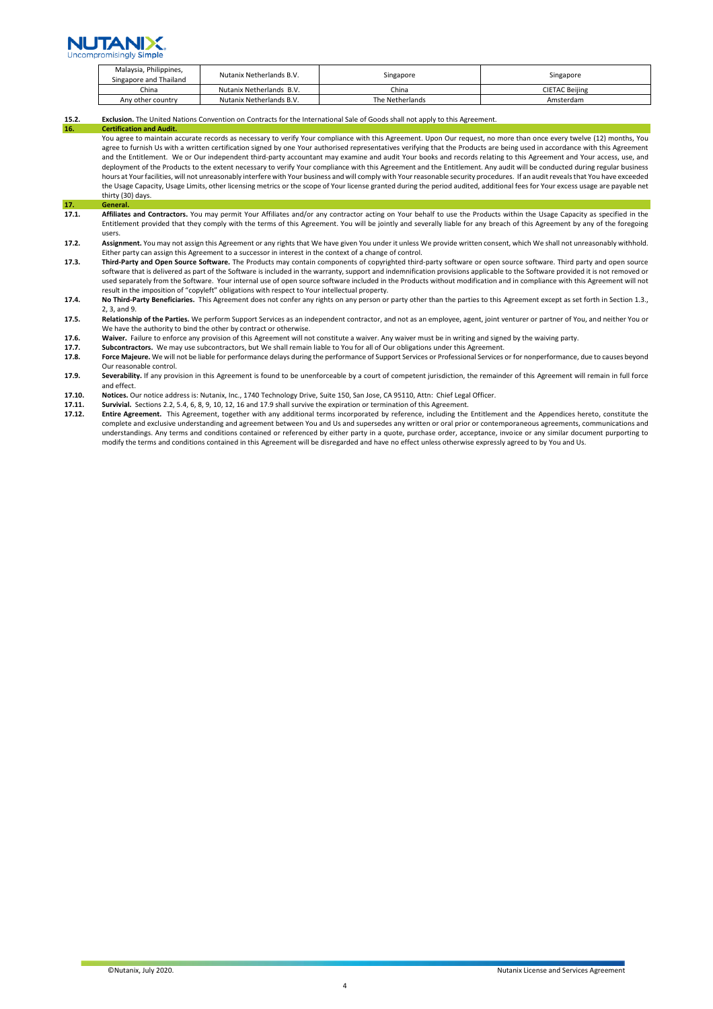

|  | Malaysia, Philippines,<br>Singapore and Thailand | Nutanix Netherlands B.V. | Singapore       | Singapore      |
|--|--------------------------------------------------|--------------------------|-----------------|----------------|
|  | China                                            | Nutanix Netherlands B.V. | China           | CIETAC Beiiing |
|  | Any other country                                | Nutanix Netherlands B.V. | The Netherlands | Amsterdam      |

### **15.2. Exclusion.** The United Nations Convention on Contracts for the International Sale of Goods shall not apply to this Agreement.

**Certification and Audit** 

You agree to maintain accurate records as necessary to verify Your compliance with this Agreement. Upon Our request, no more than once every twelve (12) months, You agree to furnish Us with a written certification signed by one Your authorised representatives verifying that the Products are being used in accordance with this Agreement and the Entitlement. We or Our independent third-party accountant may examine and audit Your books and records relating to this Agreement and Your access, use, and deployment of the Products to the extent necessary to verify Your compliance with this Agreement and the Entitlement. Any audit will be conducted during regular business hours at Your facilities, will not unreasonably interfere with Your business and will comply with Your reasonable security procedures. If an audit reveals that You have exceeded the Usage Capacity, Usage Limits, other licensing metrics or the scope of Your license granted during the period audited, additional fees for Your excess usage are payable net thirty (30) days.

- **17. 17.1.**
- **17.1. Affiliates and Contractors.** You may permit Your Affiliates and/or any contractor acting on Your behalf to use the Products within the Usage Capacity as specified in the Entitlement provided that they comply with the terms of this Agreement. You will be jointly and severally liable for any breach of this Agreement by any of the foregoing users.
- **17.2. Assignment.** You may not assign this Agreement or any rights that We have given You under it unless We provide written consent, which We shall not unreasonably withhold. Either party can assign this Agreement to a successor in interest in the context of a change of control.
- **17.3. Third-Party and Open Source Software.** The Products may contain components of copyrighted third-party software or open source software. Third party and open source software that is delivered as part of the Software is included in the warranty, support and indemnification provisions applicable to the Software provided it is not removed or used separately from the Software. Your internal use of open source software included in the Products without modification and in compliance with this Agreement will not<br>result in the imposition of "copyleft" obligations w
- **17.4. No Third-Party Beneficiaries.** This Agreement does not confer any rights on any person or party other than the parties to this Agreement except as set forth in Section 1.3., 2, 3, and 9.
- **17.5. Relationship of the Parties.** We perform Support Services as an independent contractor, and not as an employee, agent, joint venturer or partner of You, and neither You or We have the authority to bind the other by contract or otherwise.
- **17.6.** Waiver. Failure to enforce any provision of this Agreement will not constitute a waiver. Any waiver must be in writing and signed by the waiving party.<br>**17.7.** Subcontractors. We may use subcontractors, but We shal
- **17.7. Subcontractors.** We may use subcontractors, but We shall remain liable to You for all of Our obligations under this Agreement.<br>**17.8. Force Majeure.** We will not be liable for performance delays during the perfo
- Force Majeure. We will not be liable for performance delays during the performance of Support Services or Professional Services or for nonperformance, due to causes beyond Our reasonable control.
- **17.9.** Severability. If any provision in this Agreement is found to be unenforceable by a court of competent jurisdiction, the remainder of this Agreement will remain in full force and effect.
- **17.10. Notices.** Our notice address is: Nutanix, Inc., 1740 Technology Drive, Suite 150, San Jose, CA 95110, Attn: Chief Legal Officer.
- 17.11. **Survivial.** Sections 2.2, 5.4, 6, 8, 9, 10, 12, 16 and 17.9 shall survive the expiration or termination of this Agreement.<br>**17.12. Entire Agreement.** This Agreement. together with any additional terms incorporate
- **17.12. Entire Agreement.** This Agreement, together with any additional terms incorporated by reference, including the Entitlement and the Appendices hereto, constitute the complete and exclusive understanding and agreement between You and Us and supersedes any written or oral prior or contemporaneous agreements, communications and understandings. Any terms and conditions contained or referenced by either party in a quote, purchase order, acceptance, invoice or any similar document purporting to modify the terms and conditions contained in this Agreement will be disregarded and have no effect unless otherwise expressly agreed to by You and Us.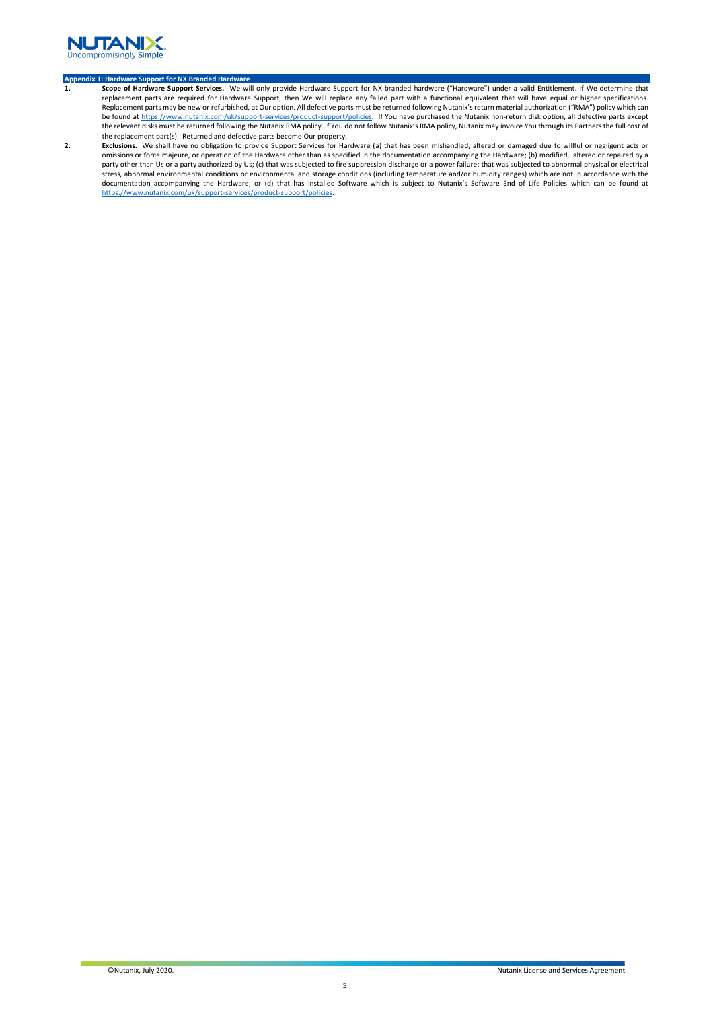

- Appendix 1: Hardware Support for NX Branded Hardware<br>1. S<mark>cope of Hardware Support Services.</mark> We will only provide Hardware Support for NX branded hardware ("Hardware") under a valid Entitlement. If We determine that replacement parts are required for Hardware Support, then We will replace any failed part with a functional equivalent that will have equal or higher specifications. Replacement parts may be new or refurbished, at Our option. All defective parts must be returned following Nutanix's return material authorization ("RMA") policy which can be found a[t https://www.nutanix.com/uk/support-services/product-support/policies.](https://www.nutanix.com/uk/support-services/product-support/policies) If You have purchased the Nutanix non-return disk option, all defective parts except the relevant disks must be returned following the Nutanix RMA policy. If You do not follow Nutanix's RMA policy, Nutanix may invoice You through its Partners the full cost of the replacement part(s). Returned and defective parts become Our property.
- **2. Exclusions.** We shall have no obligation to provide Support Services for Hardware (a) that has been mishandled, altered or damaged due to willful or negligent acts or<br>omissions or force majeure, or operation of the Har party other than Us or a party authorized by Us; (c) that was subjected to fire suppression discharge or a power failure; that was subjected to abnormal physical or electrical stress, abnormal environmental conditions or environmental and storage conditions (including temperature and/or humidity ranges) which are not in accordance with the documentation accompanying the Hardware; or (d) that has installed Software which is subject to Nutanix's Software End of Life Policies which can be found at [https://www.nutanix.com/uk/support-services/product-support/policies.](https://www.nutanix.com/uk/support-services/product-support/policies)